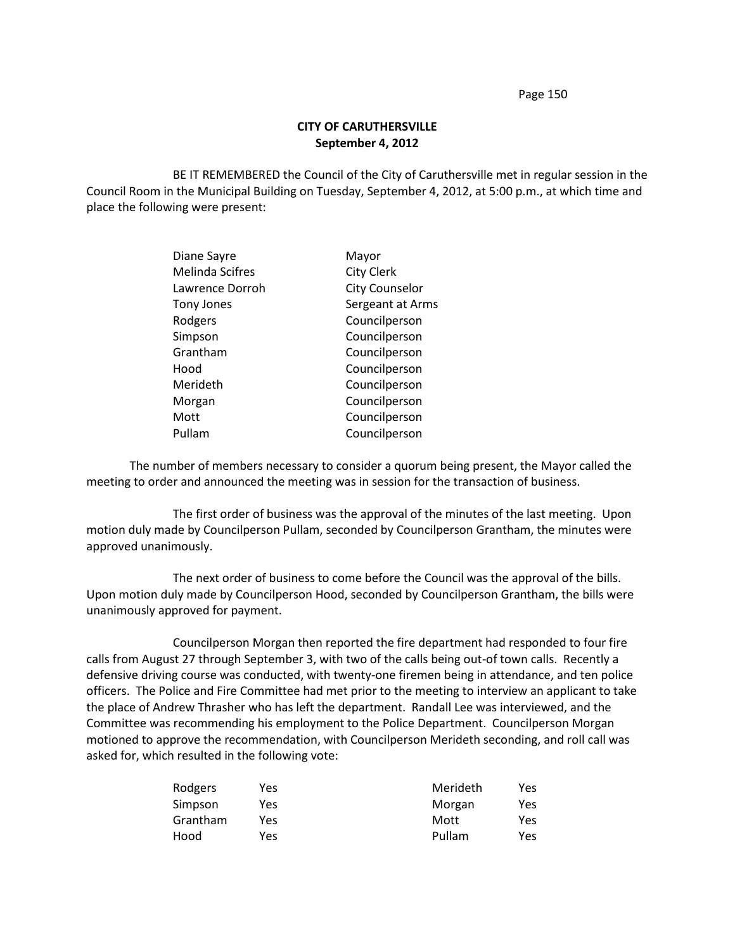Page 150

## **CITY OF CARUTHERSVILLE September 4, 2012**

BE IT REMEMBERED the Council of the City of Caruthersville met in regular session in the Council Room in the Municipal Building on Tuesday, September 4, 2012, at 5:00 p.m., at which time and place the following were present:

| Diane Sayre            | Mayor                 |
|------------------------|-----------------------|
| <b>Melinda Scifres</b> | <b>City Clerk</b>     |
| Lawrence Dorroh        | <b>City Counselor</b> |
| Tony Jones             | Sergeant at Arms      |
| Rodgers                | Councilperson         |
| Simpson                | Councilperson         |
| Grantham               | Councilperson         |
| Hood                   | Councilperson         |
| Merideth               | Councilperson         |
| Morgan                 | Councilperson         |
| Mott                   | Councilperson         |
| Pullam                 | Councilperson         |

The number of members necessary to consider a quorum being present, the Mayor called the meeting to order and announced the meeting was in session for the transaction of business.

The first order of business was the approval of the minutes of the last meeting. Upon motion duly made by Councilperson Pullam, seconded by Councilperson Grantham, the minutes were approved unanimously.

The next order of business to come before the Council was the approval of the bills. Upon motion duly made by Councilperson Hood, seconded by Councilperson Grantham, the bills were unanimously approved for payment.

Councilperson Morgan then reported the fire department had responded to four fire calls from August 27 through September 3, with two of the calls being out-of town calls. Recently a defensive driving course was conducted, with twenty-one firemen being in attendance, and ten police officers. The Police and Fire Committee had met prior to the meeting to interview an applicant to take the place of Andrew Thrasher who has left the department. Randall Lee was interviewed, and the Committee was recommending his employment to the Police Department. Councilperson Morgan motioned to approve the recommendation, with Councilperson Merideth seconding, and roll call was asked for, which resulted in the following vote:

| Rodgers  | Yes | Merideth | Yes |
|----------|-----|----------|-----|
| Simpson  | Yes | Morgan   | Yes |
| Grantham | Yes | Mott     | Yes |
| Hood     | Yes | Pullam   | Yes |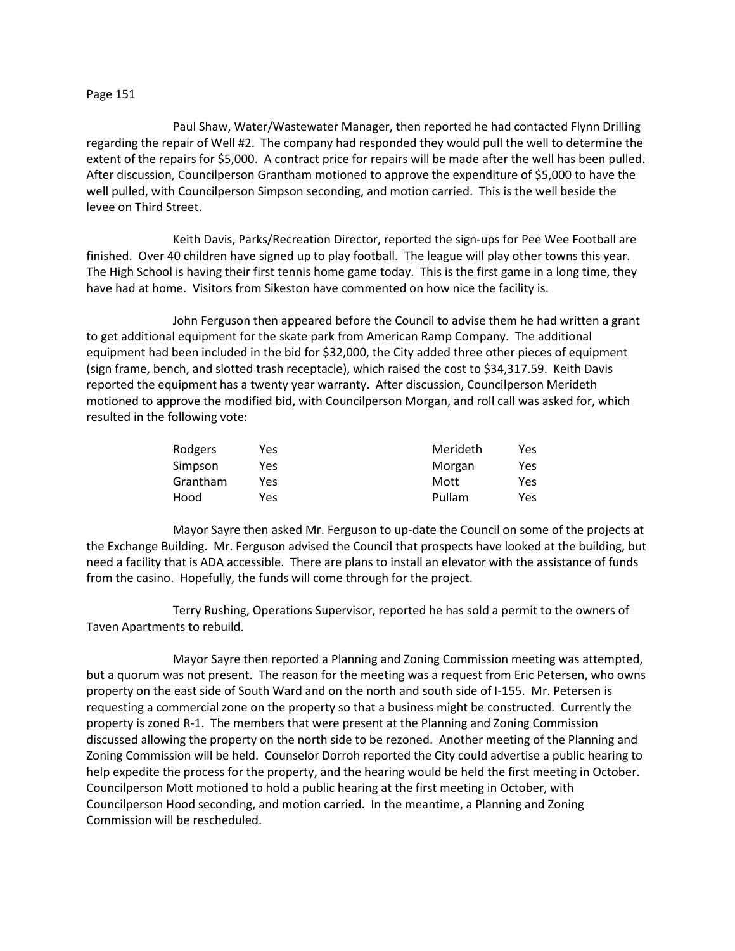## Page 151

Paul Shaw, Water/Wastewater Manager, then reported he had contacted Flynn Drilling regarding the repair of Well #2. The company had responded they would pull the well to determine the extent of the repairs for \$5,000. A contract price for repairs will be made after the well has been pulled. After discussion, Councilperson Grantham motioned to approve the expenditure of \$5,000 to have the well pulled, with Councilperson Simpson seconding, and motion carried. This is the well beside the levee on Third Street.

Keith Davis, Parks/Recreation Director, reported the sign-ups for Pee Wee Football are finished. Over 40 children have signed up to play football. The league will play other towns this year. The High School is having their first tennis home game today. This is the first game in a long time, they have had at home. Visitors from Sikeston have commented on how nice the facility is.

John Ferguson then appeared before the Council to advise them he had written a grant to get additional equipment for the skate park from American Ramp Company. The additional equipment had been included in the bid for \$32,000, the City added three other pieces of equipment (sign frame, bench, and slotted trash receptacle), which raised the cost to \$34,317.59. Keith Davis reported the equipment has a twenty year warranty. After discussion, Councilperson Merideth motioned to approve the modified bid, with Councilperson Morgan, and roll call was asked for, which resulted in the following vote:

| Rodgers  | Yes | Merideth | Yes |
|----------|-----|----------|-----|
| Simpson  | Yes | Morgan   | Yes |
| Grantham | Yes | Mott     | Yes |
| Hood     | Yes | Pullam   | Yes |

Mayor Sayre then asked Mr. Ferguson to up-date the Council on some of the projects at the Exchange Building. Mr. Ferguson advised the Council that prospects have looked at the building, but need a facility that is ADA accessible. There are plans to install an elevator with the assistance of funds from the casino. Hopefully, the funds will come through for the project.

Terry Rushing, Operations Supervisor, reported he has sold a permit to the owners of Taven Apartments to rebuild.

Mayor Sayre then reported a Planning and Zoning Commission meeting was attempted, but a quorum was not present. The reason for the meeting was a request from Eric Petersen, who owns property on the east side of South Ward and on the north and south side of I-155. Mr. Petersen is requesting a commercial zone on the property so that a business might be constructed. Currently the property is zoned R-1. The members that were present at the Planning and Zoning Commission discussed allowing the property on the north side to be rezoned. Another meeting of the Planning and Zoning Commission will be held. Counselor Dorroh reported the City could advertise a public hearing to help expedite the process for the property, and the hearing would be held the first meeting in October. Councilperson Mott motioned to hold a public hearing at the first meeting in October, with Councilperson Hood seconding, and motion carried. In the meantime, a Planning and Zoning Commission will be rescheduled.